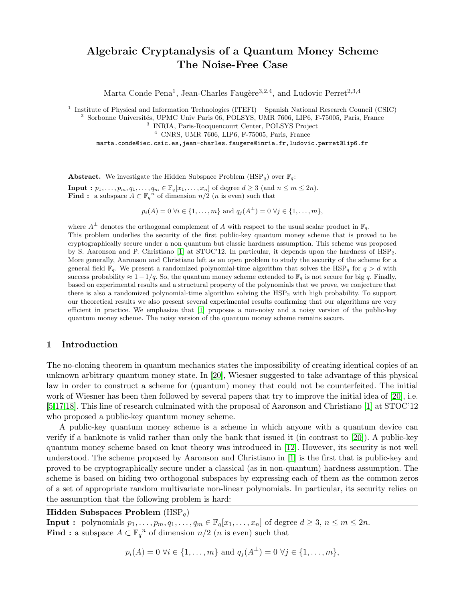# Algebraic Cryptanalysis of a Quantum Money Scheme The Noise-Free Case

Marta Conde Pena<sup>1</sup>, Jean-Charles Faugère<sup>3,2,4</sup>, and Ludovic Perret<sup>2,3,4</sup>

<sup>1</sup> Institute of Physical and Information Technologies (ITEFI) – Spanish National Research Council (CSIC)

<sup>2</sup> Sorbonne Universités, UPMC Univ Paris 06, POLSYS, UMR 7606, LIP6, F-75005, Paris, France

3 INRIA, Paris-Rocquencourt Center, POLSYS Project

<sup>4</sup> CNRS, UMR 7606, LIP6, F-75005, Paris, France

marta.conde@iec.csic.es,jean-charles.faugere@inria.fr,ludovic.perret@lip6.fr

**Abstract.** We investigate the Hidden Subspace Problem (HSP<sub>q</sub>) over  $\mathbb{F}_q$ :

**Input** :  $p_1, \ldots, p_m, q_1, \ldots, q_m \in \mathbb{F}_q[x_1, \ldots, x_n]$  of degree  $d \geq 3$  (and  $n \leq m \leq 2n$ ). **Find**: a subspace  $A \subset \mathbb{F}_q^n$  of dimension  $n/2$  (*n* is even) such that

 $p_i(A) = 0 \,\forall i \in \{1, ..., m\}$  and  $q_j(A^{\perp}) = 0 \,\forall j \in \{1, ..., m\},$ 

where  $A^{\perp}$  denotes the orthogonal complement of A with respect to the usual scalar product in  $\mathbb{F}_q$ . This problem underlies the security of the first public-key quantum money scheme that is proved to be cryptographically secure under a non quantum but classic hardness assumption. This scheme was proposed by S. Aaronson and P. Christiano  $[1]$  at STOC'12. In particular, it depends upon the hardness of  $HSP<sub>2</sub>$ . More generally, Aaronson and Christiano left as an open problem to study the security of the scheme for a general field  $\mathbb{F}_q$ . We present a randomized polynomial-time algorithm that solves the HSP<sub>q</sub> for  $q > d$  with success probability  $\approx 1-1/q$ . So, the quantum money scheme extended to  $\mathbb{F}_q$  is not secure for big q. Finally, based on experimental results and a structural property of the polynomials that we prove, we conjecture that there is also a randomized polynomial-time algorithm solving the HSP<sup>2</sup> with high probability. To support our theoretical results we also present several experimental results confirming that our algorithms are very efficient in practice. We emphasize that [\[1\]](#page-14-0) proposes a non-noisy and a noisy version of the public-key quantum money scheme. The noisy version of the quantum money scheme remains secure.

## 1 Introduction

The no-cloning theorem in quantum mechanics states the impossibility of creating identical copies of an unknown arbitrary quantum money state. In [\[20\]](#page-14-1), Wiesner suggested to take advantage of this physical law in order to construct a scheme for (quantum) money that could not be counterfeited. The initial work of Wiesner has been then followed by several papers that try to improve the initial idea of [\[20\]](#page-14-1), i.e. [\[5,](#page-14-2)[17,](#page-14-3)[18\]](#page-14-4). This line of research culminated with the proposal of Aaronson and Christiano [\[1\]](#page-14-0) at STOC'12 who proposed a public-key quantum money scheme.

A public-key quantum money scheme is a scheme in which anyone with a quantum device can verify if a banknote is valid rather than only the bank that issued it (in contrast to [\[20\]](#page-14-1)). A public-key quantum money scheme based on knot theory was introduced in [\[12\]](#page-14-5). However, its security is not well understood. The scheme proposed by Aaronson and Christiano in [\[1\]](#page-14-0) is the first that is public-key and proved to be cryptographically secure under a classical (as in non-quantum) hardness assumption. The scheme is based on hiding two orthogonal subspaces by expressing each of them as the common zeros of a set of appropriate random multivariate non-linear polynomials. In particular, its security relies on the assumption that the following problem is hard:

## Hidden Subspaces Problem  $(HSP_q)$

**Input :** polynomials  $p_1, \ldots, p_m, q_1, \ldots, q_m \in \mathbb{F}_q[x_1, \ldots, x_n]$  of degree  $d \geq 3, n \leq m \leq 2n$ . **Find**: a subspace  $A \subset \mathbb{F}_q^n$  of dimension  $n/2$  (*n* is even) such that

$$
p_i(A) = 0 \ \forall i \in \{1, ..., m\} \text{ and } q_j(A^{\perp}) = 0 \ \forall j \in \{1, ..., m\},\
$$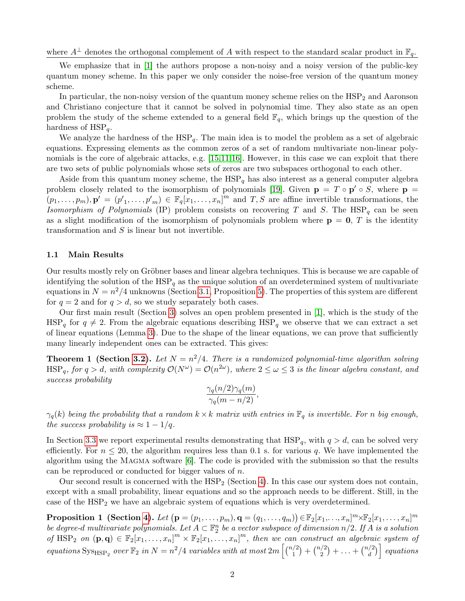where  $A^{\perp}$  denotes the orthogonal complement of A with respect to the standard scalar product in  $\mathbb{F}_q$ .

We emphasize that in [\[1\]](#page-14-0) the authors propose a non-noisy and a noisy version of the public-key quantum money scheme. In this paper we only consider the noise-free version of the quantum money scheme.

In particular, the non-noisy version of the quantum money scheme relies on the  $HSP<sub>2</sub>$  and Aaronson and Christiano conjecture that it cannot be solved in polynomial time. They also state as an open problem the study of the scheme extended to a general field  $\mathbb{F}_q$ , which brings up the question of the hardness of  $HSP_{q}$ .

We analyze the hardness of the  $HSP_q$ . The main idea is to model the problem as a set of algebraic equations. Expressing elements as the common zeros of a set of random multivariate non-linear poly-nomials is the core of algebraic attacks, e.g. [\[15,](#page-14-6)[11,](#page-14-7)[16\]](#page-14-8). However, in this case we can exploit that there are two sets of public polynomials whose sets of zeros are two subspaces orthogonal to each other.

Aside from this quantum money scheme, the  $HSP<sub>q</sub>$  has also interest as a general computer algebra problem closely related to the isomorphism of polynomials [\[19\]](#page-14-9). Given  $\mathbf{p} = T \circ \mathbf{p}' \circ S$ , where  $\mathbf{p} =$  $(p_1,\ldots,p_m),\mathbf{p'}=(p'_1,\ldots,p'_m)\in\mathbb{F}_q[x_1,\ldots,x_n]^m$  and  $T,S$  are affine invertible transformations, the Isomorphism of Polynomials (IP) problem consists on recovering T and S. The  $HSP<sub>q</sub>$  can be seen as a slight modification of the isomorphism of polynomials problem where  $p = 0$ , T is the identity transformation and S is linear but not invertible.

## 1.1 Main Results

Our results mostly rely on Gröbner bases and linear algebra techniques. This is because we are capable of identifying the solution of the  $HSP<sub>q</sub>$  as the unique solution of an overdetermined system of multivariate equations in  $N = n^2/4$  unknowns (Section [3.1,](#page-4-0) Proposition [5\)](#page-5-0). The properties of this system are different for  $q = 2$  and for  $q > d$ , so we study separately both cases.

Our first main result (Section [3\)](#page-4-1) solves an open problem presented in [\[1\]](#page-14-0), which is the study of the HSP<sub>q</sub> for  $q \neq 2$ . From the algebraic equations describing HSP<sub>q</sub> we observe that we can extract a set of linear equations (Lemma [3\)](#page-6-0). Due to the shape of the linear equations, we can prove that sufficiently many linearly independent ones can be extracted. This gives:

**Theorem 1 (Section [3.2\)](#page-6-1).** Let  $N = n^2/4$ . There is a randomized polynomial-time algorithm solving  $\text{HSP}_q$ , for  $q > d$ , with complexity  $\mathcal{O}(N^{\omega}) = \mathcal{O}(n^{2\omega})$ , where  $2 \leq \omega \leq 3$  is the linear algebra constant, and success probability

$$
\frac{\gamma_q(n/2)\gamma_q(m)}{\gamma_q(m-n/2)},
$$

 $\gamma_q(k)$  being the probability that a random  $k \times k$  matrix with entries in  $\mathbb{F}_q$  is invertible. For n big enough, the success probability is  $\approx 1-1/q$ .

In Section [3.3](#page-8-0) we report experimental results demonstrating that  $HSP_q$ , with  $q > d$ , can be solved very efficiently. For  $n \leq 20$ , the algorithm requires less than 0.1 s. for various q. We have implemented the algorithm using the Magma software [\[6\]](#page-14-10). The code is provided with the submission so that the results can be reproduced or conducted for bigger values of n.

Our second result is concerned with the  $HSP_2$  (Section [4\)](#page-9-0). In this case our system does not contain, except with a small probability, linear equations and so the approach needs to be different. Still, in the case of the  $HSP<sub>2</sub>$  we have an algebraic system of equations which is very overdetermined.

 $\textbf{Proposition 1 \text{ (Section 4).}} \: Let \: (\mathbf{p} = (p_1, \ldots, p_m), \mathbf{q} = (q_1, \ldots, q_m)) \! \in \! \mathbb{F}_2[x_1, \ldots, x_n]^m \! \times \! \mathbb{F}_2[x_1, \ldots, x_n]^m$  $\textbf{Proposition 1 \text{ (Section 4).}} \: Let \: (\mathbf{p} = (p_1, \ldots, p_m), \mathbf{q} = (q_1, \ldots, q_m)) \! \in \! \mathbb{F}_2[x_1, \ldots, x_n]^m \! \times \! \mathbb{F}_2[x_1, \ldots, x_n]^m$  $\textbf{Proposition 1 \text{ (Section 4).}} \: Let \: (\mathbf{p} = (p_1, \ldots, p_m), \mathbf{q} = (q_1, \ldots, q_m)) \! \in \! \mathbb{F}_2[x_1, \ldots, x_n]^m \! \times \! \mathbb{F}_2[x_1, \ldots, x_n]^m$ be degree-d multivariate polynomials. Let  $A\subset \mathbb{F}_2^n$  be a vector subspace of dimension  $n/2$ . If  $A$  is a solution of HSP<sub>2</sub> on  $(\mathbf{p}, \mathbf{q}) \in \mathbb{F}_2[x_1, \ldots, x_n]^m \times \mathbb{F}_2[x_1, \ldots, x_n]^m$ , then we can construct an algebraic system of equations  $\text{Sys}_{\text{HSP}_2}$  over  $\mathbb{F}_2$  in  $N = n^2/4$  variables with at most  $2m \left[ \binom{n/2}{1} \right]$  $\binom{1}{1} + \binom{n/2}{2}$  $\binom{1}{2} + \ldots + \binom{n/2}{d}$  $\binom{2}{d}$  equations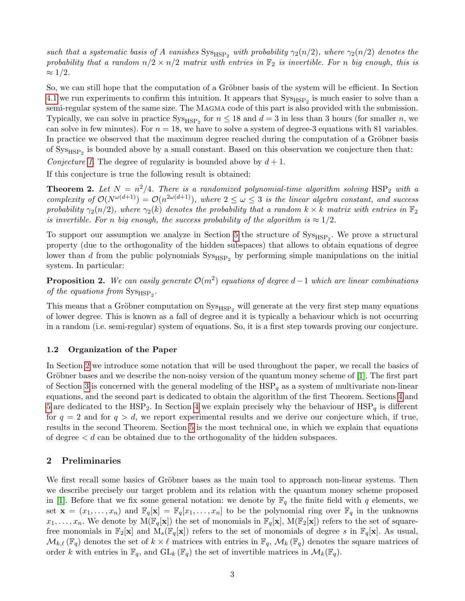such that a systematic basis of A vanishes  $\text{Sys}_{\text{HSP}_2}$  with probability  $\gamma_2(n/2)$ , where  $\gamma_2(n/2)$  denotes the probability that a random  $n/2 \times n/2$  matrix with entries in  $\mathbb{F}_2$  is invertible. For n big enough, this is  $\approx 1/2$ .

So, we can still hope that the computation of a Gröbner basis of the system will be efficient. In Section [4.1](#page-10-0) we run experiments to confirm this intuition. It appears that  $\text{Sys}_{\text{HSP}_2}$  is much easier to solve than a semi-regular system of the same size. The MAGMA code of this part is also provided with the submission. Typically, we can solve in practice  $\text{Sys}_{\text{HSP}_2}$  for  $n \leq 18$  and  $d = 3$  in less than 3 hours (for smaller n, we can solve in few minutes). For  $n = 18$ , we have to solve a system of degree-3 equations with 81 variables. In practice we observed that the maximum degree reached during the computation of a Gröbner basis of  $\text{Sys}_{\text{HSP}_2}$  is bounded above by a small constant. Based on this observation we conjecture then that:

Conjecture [1.](#page-10-1) The degree of regularity is bounded above by  $d+1$ .

If this conjecture is true the following result is obtained:

**Theorem 2.** Let  $N = n^2/4$ . There is a randomized polynomial-time algorithm solving  $HSP_2$  with a complexity of  $\mathcal{O}(N^{\omega(d+1)}) = \mathcal{O}(n^{2\omega(d+1)})$ , where  $2 \leq \omega \leq 3$  is the linear algebra constant, and success probability  $\gamma_2(n/2)$ , where  $\gamma_2(k)$  denotes the probability that a random  $k \times k$  matrix with entries in  $\mathbb{F}_2$ is invertible. For n big enough, the success probability of the algorithm is  $\approx 1/2$ .

To support our assumption we analyze in Section [5](#page-10-2) the structure of  $\text{Sys}_{\text{HSP}_2}$ . We prove a structural property (due to the orthogonality of the hidden subspaces) that allows to obtain equations of degree lower than d from the public polynomials  $\text{Sys}_{\text{HSP}_2}$  by performing simple manipulations on the initial system. In particular:

**Proposition 2.** We can easily generate  $\mathcal{O}(m^2)$  equations of degree d – 1 which are linear combinations of the equations from  $\text{Sys}_{\text{HSP}_2}$ .

This means that a Gröbner computation on  $\text{Sys}_{HSP_2}$  will generate at the very first step many equations of lower degree. This is known as a fall of degree and it is typically a behaviour which is not occurring in a random (i.e. semi-regular) system of equations. So, it is a first step towards proving our conjecture.

## 1.2 Organization of the Paper

In Section [2](#page-2-0) we introduce some notation that will be used throughout the paper, we recall the basics of Gröbner bases and we describe the non-noisy version of the quantum money scheme of  $[1]$ . The first part of Section [3](#page-4-1) is concerned with the general modeling of the  $HSP<sub>q</sub>$  as a system of multivariate non-linear equations, and the second part is dedicated to obtain the algorithm of the first Theorem. Sections [4](#page-9-0) and [5](#page-10-2) are dedicated to the  $HSP<sub>2</sub>$ . In Section [4](#page-9-0) we explain precisely why the behaviour of  $HSP<sub>q</sub>$  is different for  $q = 2$  and for  $q > d$ , we report experimental results and we derive our conjecture which, if true, results in the second Theorem. Section [5](#page-10-2) is the most technical one, in which we explain that equations of degree  $\lt d$  can be obtained due to the orthogonality of the hidden subspaces.

## <span id="page-2-0"></span>2 Preliminaries

We first recall some basics of Gröbner bases as the main tool to approach non-linear systems. Then we describe precisely our target problem and its relation with the quantum money scheme proposed in [\[1\]](#page-14-0). Before that we fix some general notation: we denote by  $\mathbb{F}_q$  the finite field with q elements, we set  $\mathbf{x} = (x_1, \ldots, x_n)$  and  $\mathbb{F}_q[\mathbf{x}] = \mathbb{F}_q[x_1, \ldots, x_n]$  to be the polynomial ring over  $\mathbb{F}_q$  in the unknowns  $x_1, \ldots, x_n$ . We denote by  $M(\mathbb{F}_q[\mathbf{x}])$  the set of monomials in  $\mathbb{F}_q[\mathbf{x}]$ ,  $M(\mathbb{F}_2[\mathbf{x}])$  refers to the set of squarefree monomials in  $\mathbb{F}_2[\mathbf{x}]$  and  $M_s(\mathbb{F}_q[\mathbf{x}])$  refers to the set of monomials of degree s in  $\mathbb{F}_q[\mathbf{x}]$ . As usual,  $\mathcal{M}_{k,\ell}(\mathbb{F}_q)$  denotes the set of  $k \times \ell$  matrices with entries in  $\mathbb{F}_q$ ,  $\mathcal{M}_k(\mathbb{F}_q)$  denotes the square matrices of order k with entries in  $\mathbb{F}_q$ , and  $GL_k(\mathbb{F}_q)$  the set of invertible matrices in  $\mathcal{M}_k(\mathbb{F}_q)$ .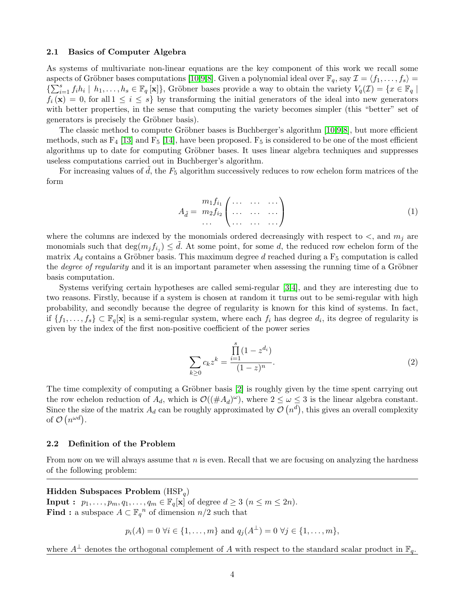#### 2.1 Basics of Computer Algebra

As systems of multivariate non-linear equations are the key component of this work we recall some aspects of Gröbner bases computations [\[10,](#page-14-11)[9,](#page-14-12)[8\]](#page-14-13). Given a polynomial ideal over  $\mathbb{F}_q$ , say  $\mathcal{I} = \langle f_1, \ldots, f_s \rangle =$  $\{\sum_{i=1}^s f_i h_i \mid h_1,\ldots,h_s \in \mathbb{F}_q[\mathbf{x}]\},$  Gröbner bases provide a way to obtain the variety  $V_q(\mathcal{I}) = \{x \in \mathbb{F}_q \mid \mathcal{I}\}$  $f_i(\mathbf{x}) = 0$ , for all  $1 \leq i \leq s$  by transforming the initial generators of the ideal into new generators with better properties, in the sense that computing the variety becomes simpler (this "better" set of generators is precisely the Gröbner basis).

The classic method to compute Gröbner bases is Buchberger's algorithm  $[10,9,8]$  $[10,9,8]$  $[10,9,8]$ , but more efficient methods, such as  $F_4$  [\[13\]](#page-14-14) and  $F_5$  [\[14\]](#page-14-15), have been proposed.  $F_5$  is considered to be one of the most efficient algorithms up to date for computing Gröbner bases. It uses linear algebra techniques and suppresses useless computations carried out in Buchberger's algorithm.

For increasing values of  $\tilde{d}$ , the  $F_5$  algorithm successively reduces to row echelon form matrices of the form

$$
A_{\tilde{d}} = \begin{array}{c} m_1 f_{i_1} \left( \begin{array}{ccc} \ldots & \ldots & \ldots \\ \ldots & \ldots & \ldots \end{array} \right) \\ \ldots & \ldots & \ldots \end{array} \tag{1}
$$

where the columns are indexed by the monomials ordered decreasingly with respect to  $\lt$ , and  $m_j$  are monomials such that  $\deg(m_j f_{i_j}) \leq d$ . At some point, for some d, the reduced row echelon form of the matrix  $A_d$  contains a Gröbner basis. This maximum degree d reached during a  $F_5$  computation is called the *degree of regularity* and it is an important parameter when assessing the running time of a Gröbner basis computation.

Systems verifying certain hypotheses are called semi-regular [\[3,](#page-14-16)[4\]](#page-14-17), and they are interesting due to two reasons. Firstly, because if a system is chosen at random it turns out to be semi-regular with high probability, and secondly because the degree of regularity is known for this kind of systems. In fact, if  $\{f_1,\ldots,f_s\} \subset \mathbb{F}_q[\mathbf{x}]$  is a semi-regular system, where each  $f_i$  has degree  $d_i$ , its degree of regularity is given by the index of the first non-positive coefficient of the power series

<span id="page-3-0"></span>
$$
\sum_{k\geq 0} c_k z^k = \frac{\prod_{i=1}^s (1 - z^{d_i})}{(1 - z)^n}.
$$
\n(2)

The time complexity of computing a Gröbner basis  $[2]$  is roughly given by the time spent carrying out the row echelon reduction of  $A_d$ , which is  $\mathcal{O}((\#A_d)^\omega)$ , where  $2 \leq \omega \leq 3$  is the linear algebra constant. Since the size of the matrix  $A_d$  can be roughly approximated by  $\mathcal{O}(n^d)$ , this gives an overall complexity of  $\mathcal{O}(n^{\omega d})$ .

#### 2.2 Definition of the Problem

From now on we will always assume that  $n$  is even. Recall that we are focusing on analyzing the hardness of the following problem:

Hidden Subspaces Problem  $(HSP_q)$ **Input :**  $p_1, \ldots, p_m, q_1, \ldots, q_m \in \mathbb{F}_q[\mathbf{x}]$  of degree  $d \geq 3$   $(n \leq m \leq 2n)$ . **Find**: a subspace  $A \subset \mathbb{F}_q^n$  of dimension  $n/2$  such that

 $p_i(A) = 0 \,\forall i \in \{1, ..., m\} \text{ and } q_j(A^{\perp}) = 0 \,\forall j \in \{1, ..., m\},$ 

where  $A^{\perp}$  denotes the orthogonal complement of A with respect to the standard scalar product in  $\mathbb{F}_q$ .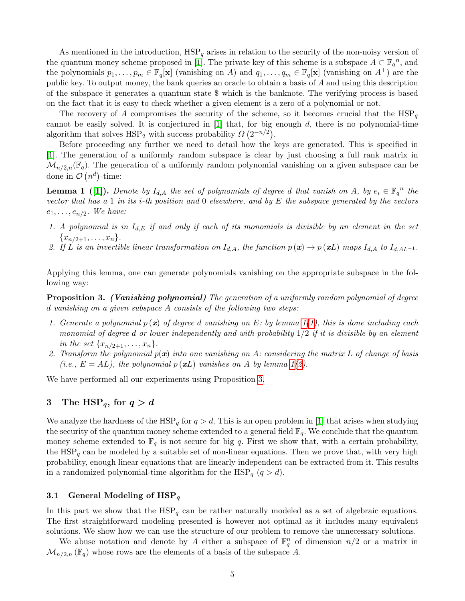As mentioned in the introduction,  $HSP_q$  arises in relation to the security of the non-noisy version of the quantum money scheme proposed in [\[1\]](#page-14-0). The private key of this scheme is a subspace  $A \subset \mathbb{F}_q^n$ , and the polynomials  $p_1, \ldots, p_m \in \mathbb{F}_q[\mathbf{x}]$  (vanishing on A) and  $q_1, \ldots, q_m \in \mathbb{F}_q[\mathbf{x}]$  (vanishing on  $A^{\perp}$ ) are the public key. To output money, the bank queries an oracle to obtain a basis of A and using this description of the subspace it generates a quantum state \$ which is the banknote. The verifying process is based on the fact that it is easy to check whether a given element is a zero of a polynomial or not.

The recovery of A compromises the security of the scheme, so it becomes crucial that the  $HSP<sub>q</sub>$ cannot be easily solved. It is conjectured in  $[1]$  that, for big enough  $d$ , there is no polynomial-time algorithm that solves  $HSP_2$  with success probability  $\Omega(2^{-n/2})$ .

Before proceeding any further we need to detail how the keys are generated. This is specified in [\[1\]](#page-14-0). The generation of a uniformly random subspace is clear by just choosing a full rank matrix in  $\mathcal{M}_{n/2,n}(\mathbb{F}_q)$ . The generation of a uniformly random polynomial vanishing on a given subspace can be done in  $\mathcal{O}(n^d)$ -time:

<span id="page-4-2"></span>**Lemma 1** ([\[1\]](#page-14-0)). Denote by  $I_{d,A}$  the set of polynomials of degree d that vanish on A, by  $e_i \in \mathbb{F}_q^n$  the vector that has a 1 in its *i*-th position and 0 elsewhere, and by E the subspace generated by the vectors  $e_1, \ldots, e_{n/2}$ . We have:

- <span id="page-4-3"></span>1. A polynomial is in  $I_{d,E}$  if and only if each of its monomials is divisible by an element in the set  $\{x_{n/2+1}, \ldots, x_n\}.$
- <span id="page-4-4"></span>2. If L is an invertible linear transformation on  $I_{d,A}$ , the function  $p(x) \to p(xL)$  maps  $I_{d,A}$  to  $I_{d,AL^{-1}}$ .

<span id="page-4-5"></span>Applying this lemma, one can generate polynomials vanishing on the appropriate subspace in the following way:

**Proposition 3.** (Vanishing polynomial) The generation of a uniformly random polynomial of degree d vanishing on a given subspace A consists of the following two steps:

- 1. Generate a polynomial  $p(x)$  of degree d vanishing on E: by lemma  $1(1)$  $1(1)$ , this is done including each monomial of degree d or lower independently and with probability  $1/2$  if it is divisible by an element in the set  $\{x_{n/2+1}, \ldots, x_n\}.$
- 2. Transform the polynomial  $p(x)$  into one vanishing on A: considering the matrix L of change of basis (i.e.,  $E = AL$ ), the polynomial  $p(\mathbf{x}L)$  vanishes on A by lemma [1](#page-4-2)[\(2\)](#page-4-4).

We have performed all our experiments using Proposition [3.](#page-4-5)

# <span id="page-4-1"></span>3 The HSP<sub>q</sub>, for  $q > d$

We analyze the hardness of the  $HSP_q$  for  $q > d$ . This is an open problem in [\[1\]](#page-14-0) that arises when studying the security of the quantum money scheme extended to a general field  $\mathbb{F}_q$ . We conclude that the quantum money scheme extended to  $\mathbb{F}_q$  is not secure for big q. First we show that, with a certain probability, the  $HSP<sub>q</sub>$  can be modeled by a suitable set of non-linear equations. Then we prove that, with very high probability, enough linear equations that are linearly independent can be extracted from it. This results in a randomized polynomial-time algorithm for the  $HSP_q$   $(q > d)$ .

#### <span id="page-4-0"></span>3.1 General Modeling of  $HSP_q$

In this part we show that the  $HSP_q$  can be rather naturally modeled as a set of algebraic equations. The first straightforward modeling presented is however not optimal as it includes many equivalent solutions. We show how we can use the structure of our problem to remove the unnecessary solutions.

<span id="page-4-6"></span>We abuse notation and denote by A either a subspace of  $\mathbb{F}_q^n$  of dimension  $n/2$  or a matrix in  $\mathcal{M}_{n/2,n}(\mathbb{F}_q)$  whose rows are the elements of a basis of the subspace A.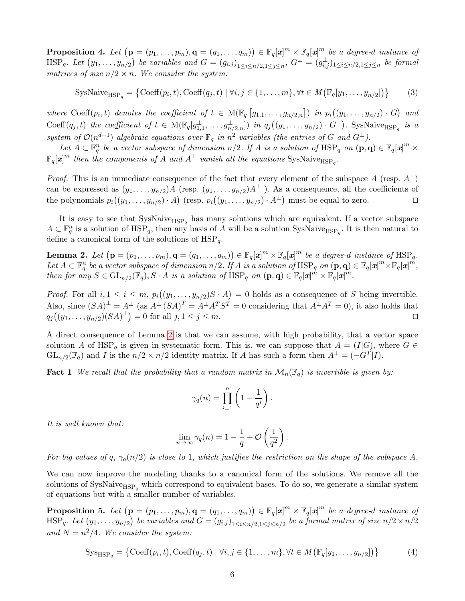**Proposition 4.** Let  $(\mathbf{p} = (p_1, \ldots, p_m), \mathbf{q} = (q_1, \ldots, q_m)) \in \mathbb{F}_q[\mathbf{x}]^m \times \mathbb{F}_q[\mathbf{x}]^m$  be a degree-d instance of  $\text{HSP}_q$ . Let  $(y_1,\ldots,y_{n/2})$  be variables and  $G=(g_{i,j})_{1\leq i\leq n/2,1\leq j\leq n}$ ,  $G^\perp=(g_{i,j}^\perp)_{1\leq i\leq n/2,1\leq j\leq n}$  be formal matrices of size  $n/2 \times n$ . We consider the system:

$$
SysNaiveHSPq = \{ Coeff(pi, t), Coeff(qj, t) | \forall i, j \in \{1, ..., m\}, \forall t \in M (\mathbb{F}_q[y_1, ..., y_{n/2}]) \}
$$
(3)

where Coeff $(p_i, t)$  denotes the coefficient of  $t \in M(\mathbb{F}_q[g_{1,1},...,g_{n/2,n}])$  in  $p_i((y_1,...,y_{n/2}) \cdot G)$  and  $\text{Coeff}(q_j,t)$  the coefficient of  $t \in M(\mathbb{F}_q[g_{1,1}^{\perp},\ldots,g_{n/2,n}^{\perp}])$  in  $q_j((y_1,\ldots,y_{n/2})\cdot G^{\perp})$ . SysNaive<sub>HSP<sub>q</sub></sub> is a system of  $\mathcal{O}(n^{d+1})$  algebraic equations over  $\mathbb{F}_q$  in  $n^2$  variables (the entries of G and  $G^{\perp}$ ).

Let  $A \subset \mathbb{F}_q^n$  be a vector subspace of dimension  $n/2$ . If A is a solution of  $HSP_q$  on  $(\mathbf{p}, \mathbf{q}) \in \mathbb{F}_q[\mathbf{x}]^m \times$  $\mathbb{F}_q[\boldsymbol{x}]^m$  then the components of A and  $A^{\perp}$  vanish all the equations SysNaive<sub>HSPq</sub>.

*Proof.* This is an immediate consequence of the fact that every element of the subspace A (resp.  $A^{\perp}$ ) can be expressed as  $(y_1,\ldots,y_{n/2})A$  (resp.  $(y_1,\ldots,y_{n/2})A^{\perp}$ ). As a consequence, all the coefficients of the polynomials  $p_i((y_1,\ldots,y_{n/2})\cdot A)$  (resp.  $p_i((y_1,\ldots,y_{n/2})\cdot A^{\perp})$  must be equal to zero.

It is easy to see that  $\text{SysNaive}_{\text{HSP}_q}$  has many solutions which are equivalent. If a vector subspace  $A\subset \mathbb{F}_q^n$  is a solution of  $HSP_q$ , then any basis of A will be a solution SysNaive<sub>HSPq</sub>. It is then natural to define a canonical form of the solutions of  $HSP_q$ .

**Lemma 2.** Let  $(\mathbf{p} = (p_1, \ldots, p_m), \mathbf{q} = (q_1, \ldots, q_m)) \in \mathbb{F}_q[\boldsymbol{x}]^m \times \mathbb{F}_q[\boldsymbol{x}]^m$  be a degree-d instance of  $\text{HSP}_q$ . Let  $A\subset \mathbb{F}_{q}^n$  be a vector subspace of dimension  $n/2$ . If  $A$  is a solution of  $\text{HSP}_q$  on  $(\mathbf{p},\mathbf{q})\in \mathbb{F}_q[\boldsymbol{x}]^m\times \mathbb{F}_q[\boldsymbol{x}]^m$ , then for any  $S \in \mathrm{GL}_{n/2}(\mathbb{F}_q)$ ,  $S \cdot A$  is a solution of  $\mathrm{HSP}_q$  on  $(\mathbf{p}, \mathbf{q}) \in \mathbb{F}_q[\mathbf{x}]^m \times \mathbb{F}_q[\mathbf{x}]^m$ .

*Proof.* For all  $i, 1 \leq i \leq m$ ,  $p_i((y_1, \ldots, y_{n/2})S \cdot A) = 0$  holds as a consequence of S being invertible. Also, since  $(SA)^{\perp} = A^{\perp}$  (as  $A^{\perp} (SA)^{T} = A^{\perp} A^{T} S^{T} = 0$  considering that  $A^{\perp} A^{T} = 0$ ), it also holds that  $q_j((y_1, \ldots, y_{n/2})(SA)^{\perp}) = 0$  for all  $j, 1 \le j \le m$ .

A direct consequence of Lemma [2](#page-5-1) is that we can assume, with high probability, that a vector space solution A of HSP<sub>q</sub> is given in systematic form. This is, we can suppose that  $A = (I|G)$ , where  $G \in$  $GL_{n/2}(\mathbb{F}_q)$  and I is the  $n/2 \times n/2$  identity matrix. If A has such a form then  $A^{\perp} = (-G^T | I)$ .

**Fact 1** We recall that the probability that a random matrix in  $\mathcal{M}_n(\mathbb{F}_q)$  is invertible is given by:

<span id="page-5-1"></span>
$$
\gamma_q(n) = \prod_{i=1}^n \left(1 - \frac{1}{q^i}\right).
$$

It is well known that:

<span id="page-5-0"></span>
$$
\lim_{n \to \infty} \gamma_q(n) = 1 - \frac{1}{q} + \mathcal{O}\left(\frac{1}{q^2}\right).
$$

For big values of q,  $\gamma_q(n/2)$  is close to 1, which justifies the restriction on the shape of the subspace A.

We can now improve the modeling thanks to a canonical form of the solutions. We remove all the solutions of  $SysNaive<sub>HSP<sub>q</sub></sub>$  which correspond to equivalent bases. To do so, we generate a similar system of equations but with a smaller number of variables.

**Proposition 5.** Let  $(\mathbf{p} = (p_1, \ldots, p_m), \mathbf{q} = (q_1, \ldots, q_m)) \in \mathbb{F}_q[\boldsymbol{x}]^m \times \mathbb{F}_q[\boldsymbol{x}]^m$  be a degree-d instance of  $\text{HSP}_q$ . Let  $(y_1,\ldots,y_{n/2})$  be variables and  $G=(g_{i,j})_{1\leq i\leq n/2,1\leq j\leq n/2}$  be a formal matrix of size  $n/2\times n/2$ and  $N = n^2/4$ . We consider the system:

$$
Sys_{HSP_q} = \{ Coeff(p_i, t), Coeff(q_j, t) \mid \forall i, j \in \{1, \dots, m\}, \forall t \in M \left( \mathbb{F}_q[y_1, \dots, y_{n/2}] \right) \}
$$
(4)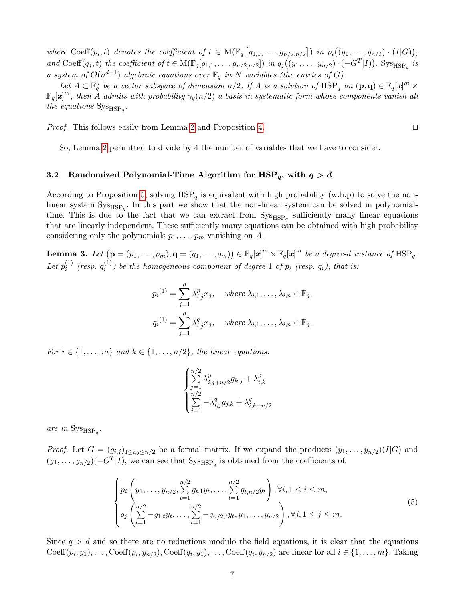where Coeff $(p_i, t)$  denotes the coefficient of  $t \in M(\mathbb{F}_q [g_{1,1}, \ldots, g_{n/2,n/2}])$  in  $p_i((y_1, \ldots, y_{n/2}) \cdot (I|G)),$ and Coeff $(q_j, t)$  the coefficient of  $t \in M(\mathbb{F}_q[g_{1,1}, \ldots, g_{n/2,n/2}])$  in  $q_j((y_1, \ldots, y_{n/2}) \cdot (-G^T|I))$ . Sys<sub>HSP<sub>q</sub></sub> is a system of  $\mathcal{O}(n^{d+1})$  algebraic equations over  $\mathbb{F}_q$  in N variables (the entries of G).

Let  $A \subset \mathbb{F}_q^n$  be a vector subspace of dimension  $n/2$ . If A is a solution of  $HSP_q$  on  $(\mathbf{p}, \mathbf{q}) \in \mathbb{F}_q[\mathbf{x}]^m \times$  $\mathbb{F}_q[x]^m$ , then A admits with probability  $\gamma_q(n/2)$  a basis in systematic form whose components vanish all the equations  $\text{Sys}_{\text{HSP}_q}$ .

*Proof.* This follows easily from Lemma [2](#page-5-1) and Proposition [4.](#page-4-6)

So, Lemma [2](#page-5-1) permitted to divide by 4 the number of variables that we have to consider.

#### <span id="page-6-1"></span>3.2 Randomized Polynomial-Time Algorithm for  $HSP_q$ , with  $q > d$

According to Proposition [5,](#page-5-0) solving  $HSP_q$  is equivalent with high probability (w.h.p) to solve the nonlinear system  $\text{Sys}_{\text{HSP}_q}$ . In this part we show that the non-linear system can be solved in polynomialtime. This is due to the fact that we can extract from  $\text{Sys}_{\text{HSP}_q}$  sufficiently many linear equations that are linearly independent. These sufficiently many equations can be obtained with high probability considering only the polynomials  $p_1, \ldots, p_m$  vanishing on A.

**Lemma 3.** Let  $(\mathbf{p} = (p_1, \ldots, p_m), \mathbf{q} = (q_1, \ldots, q_m)) \in \mathbb{F}_q[\mathbf{x}]^m \times \mathbb{F}_q[\mathbf{x}]^m$  be a degree-d instance of  $\text{HSP}_q$ . Let  $p_i^{(1)}$  $\stackrel{(1)}{i}$  (resp.  $q_i^{(1)}$  $i^{(1)}$ ) be the homogeneous component of degree 1 of  $p_i$  (resp.  $q_i$ ), that is:

<span id="page-6-0"></span>
$$
p_i^{(1)} = \sum_{j=1}^n \lambda_{i,j}^p x_j, \quad \text{where } \lambda_{i,1}, \dots, \lambda_{i,n} \in \mathbb{F}_q,
$$
  

$$
q_i^{(1)} = \sum_{j=1}^n \lambda_{i,j}^q x_j, \quad \text{where } \lambda_{i,1}, \dots, \lambda_{i,n} \in \mathbb{F}_q.
$$

For  $i \in \{1, \ldots, m\}$  and  $k \in \{1, \ldots, n/2\}$ , the linear equations:

<span id="page-6-2"></span>
$$
\begin{cases} \sum\limits_{j=1}^{n/2}\lambda_{i,j+n/2}^{p}g_{k,j}+\lambda_{i,k}^{p}\\ \sum\limits_{j=1}^{n/2}-\lambda_{i,j}^{q}g_{j,k}+\lambda_{i,k+n/2}^{q} \end{cases}
$$

are in  $\text{Sys}_{\text{HSP}_q}$ .

*Proof.* Let  $G = (g_{i,j})_{1 \leq i,j \leq n/2}$  be a formal matrix. If we expand the products  $(y_1, \ldots, y_{n/2})(I|G)$  and  $(y_1, \ldots, y_{n/2})$  $(-G^T | I)$ , we can see that  $\text{Sys}_{HSP_q}$  is obtained from the coefficients of:

$$
\begin{cases}\np_i\left(y_1,\ldots,y_{n/2},\sum_{t=1}^{n/2}g_{t,1}y_t,\ldots,\sum_{t=1}^{n/2}g_{t,n/2}y_t\right),\forall i, 1\leq i\leq m, \\
q_j\left(\sum_{t=1}^{n/2}-g_{1,t}y_t,\ldots,\sum_{t=1}^{n/2}-g_{n/2,t}y_t,y_1,\ldots,y_{n/2}\right),\forall j, 1\leq j\leq m.\n\end{cases}\n\tag{5}
$$

Since  $q > d$  and so there are no reductions modulo the field equations, it is clear that the equations Coeff $(p_i, y_1), \ldots, \text{Coeff}(p_i, y_{n/2}), \text{Coeff}(q_i, y_1), \ldots, \text{Coeff}(q_i, y_{n/2})$  are linear for all  $i \in \{1, \ldots, m\}$ . Taking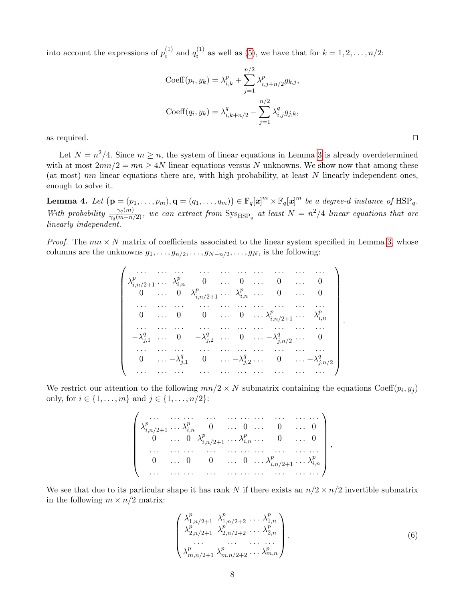into account the expressions of  $p_i^{(1)}$  $i^{(1)}$  and  $q_i^{(1)}$  $i_i^{(1)}$  as well as [\(5\)](#page-6-2), we have that for  $k = 1, 2, ..., n/2$ :

$$
\text{Coeff}(p_i, y_k) = \lambda_{i,k}^p + \sum_{j=1}^{n/2} \lambda_{i,j+n/2}^p g_{k,j},
$$
  

$$
\text{Coeff}(q_i, y_k) = \lambda_{i,k+n/2}^q - \sum_{j=1}^{n/2} \lambda_{i,j}^q g_{j,k},
$$
as required.

Let  $N = n^2/4$ . Since  $m \geq n$ , the system of linear equations in Lemma [3](#page-6-0) is already overdetermined with at most  $2mn/2 = mn \geq 4N$  linear equations versus N unknowns. We show now that among these (at most)  $mn$  linear equations there are, with high probability, at least  $N$  linearly independent ones, enough to solve it.

**Lemma 4.** Let  $(\mathbf{p} = (p_1, \ldots, p_m), \mathbf{q} = (q_1, \ldots, q_m)) \in \mathbb{F}_q[\mathbf{x}]^m \times \mathbb{F}_q[\mathbf{x}]^m$  be a degree-d instance of  $\text{HSP}_q$ . With probability  $\frac{\gamma_q(m)}{\gamma_q(m-n/2)}$ , we can extract from  $\text{Sys}_{\text{HSP}_q}$  at least  $N = n^2/4$  linear equations that are linearly independent.

*Proof.* The  $mn \times N$  matrix of coefficients associated to the linear system specified in Lemma [3,](#page-6-0) whose columns are the unknowns  $g_1, \ldots, g_{n/2}, \ldots, g_{N-n/2}, \ldots, g_N$ , is the following:

$$
\begin{pmatrix}\n\dots & \dots & \dots & \dots & \dots & \dots & \dots & \dots \\
\lambda_{i,n/2+1}^p & \lambda_{i,n}^p & 0 & \dots & 0 & \dots & 0 & \dots & 0 \\
0 & \dots & 0 & \lambda_{i,n/2+1}^p & \dots & \lambda_{i,n}^p & \dots & 0 & \dots & 0 \\
\vdots & \dots & \dots & \dots & \dots & \dots & \dots & \dots & \dots & \dots \\
0 & \dots & 0 & 0 & \dots & 0 & \dots & \lambda_{i,n/2+1}^p & \dots & \lambda_{i,n}^p \\
\vdots & \dots & \dots & \dots & \dots & \dots & \dots & \dots & \dots & \dots \\
0 & \dots & \dots & \dots & \dots & \dots & \dots & \dots & \dots & \dots \\
0 & \dots & \dots & \dots & \dots & \dots & \dots & \dots & \dots & \dots \\
0 & \dots & \dots & \dots & \dots & \dots & \dots & \dots & \dots & \dots \\
0 & \dots & \dots & \dots & \dots & \dots & \dots & \dots & \dots & \dots & \dots \\
0 & \dots & \dots & \dots & \dots & \dots & \dots & \dots & \dots & \dots & \dots & \dots\n\end{pmatrix}
$$

We restrict our attention to the following  $mn/2 \times N$  submatrix containing the equations Coeff $(p_i, y_j)$ only, for  $i \in \{1, ..., m\}$  and  $j \in \{1, ..., n/2\}$ :

> . . . . . . . . . . . . . . . . . . . . . . . . . . . . . .  $\begin{array}{c} \hline \end{array}$  $\lambda_{i,n/2+1}^p \ldots \lambda_{i,n}^p$  0 ... 0 ... 0 ... 0  $\begin{matrix} 0 & \ldots & 0 & \lambda^p_{i,n/2+1} & \ldots & \lambda^p_{i,n} & \ldots & 0 & \ldots & 0 \end{matrix}$ . . . . . . . . . . . . . . . . . . . . . . . . . . . . . .  $0 \quad \dots \quad 0 \quad 0 \quad \dots \quad 0 \quad \dots \lambda_{i,n/2+1}^p \dots \lambda_{i,n}^p$ . . . . . . . . . . . . . . . . . . . . . . . . . . . . . .  $\setminus$  $\begin{array}{c} \hline \end{array}$ ,

We see that due to its particular shape it has rank N if there exists an  $n/2 \times n/2$  invertible submatrix in the following  $m \times n/2$  matrix:

<span id="page-7-0"></span>
$$
\begin{pmatrix}\n\lambda_{1,n/2+1}^p & \lambda_{1,n/2+2}^p & \dots & \lambda_{1,n}^p \\
\lambda_{2,n/2+1}^p & \lambda_{2,n/2+2}^p & \dots & \lambda_{2,n}^p \\
\vdots & \vdots & \ddots & \vdots \\
\lambda_{m,n/2+1}^p & \lambda_{m,n/2+2}^p & \dots & \lambda_{m,n}^p\n\end{pmatrix}.
$$
\n(6)

.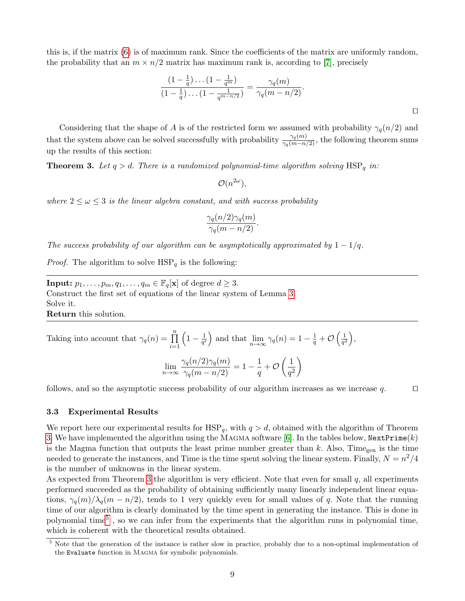this is, if the matrix [\(6\)](#page-7-0) is of maximum rank. Since the coefficients of the matrix are uniformly random, the probability that an  $m \times n/2$  matrix has maximum rank is, according to [\[7\]](#page-14-19), precisely

<span id="page-8-1"></span>
$$
\frac{\left(1-\frac{1}{q}\right)\dots\left(1-\frac{1}{q^m}\right)}{\left(1-\frac{1}{q}\right)\dots\left(1-\frac{1}{q^{m-n/2}}\right)}=\frac{\gamma_q(m)}{\gamma_q(m-n/2)}.
$$

Considering that the shape of A is of the restricted form we assumed with probability  $\gamma_q(n/2)$  and that the system above can be solved successfully with probability  $\frac{\gamma_q(m)}{\gamma_q(m-n/2)}$ , the following theorem sums up the results of this section:

**Theorem 3.** Let  $q > d$ . There is a randomized polynomial-time algorithm solving  $HSP_q$  in:

 $\mathcal{O}(n^{2\omega}),$ 

where  $2 \leq \omega \leq 3$  is the linear algebra constant, and with success probability

$$
\frac{\gamma_q(n/2)\gamma_q(m)}{\gamma_q(m-n/2)}.
$$

The success probability of our algorithm can be asymptotically approximated by  $1 - 1/q$ .

*Proof.* The algorithm to solve  $HSP_q$  is the following:

**Input:**  $p_1, \ldots, p_m, q_1, \ldots, q_m \in \mathbb{F}_q[\mathbf{x}]$  of degree  $d \geq 3$ . Construct the first set of equations of the linear system of Lemma [3.](#page-6-0) Solve it.

Return this solution.

Taking into account that 
$$
\gamma_q(n) = \prod_{i=1}^n \left(1 - \frac{1}{q^i}\right)
$$
 and that  $\lim_{n \to \infty} \gamma_q(n) = 1 - \frac{1}{q} + \mathcal{O}\left(\frac{1}{q^2}\right)$ ,

$$
\lim_{n \to \infty} \frac{\gamma_q(n/2)\gamma_q(m)}{\gamma_q(m - n/2)} = 1 - \frac{1}{q} + \mathcal{O}\left(\frac{1}{q^2}\right)
$$

follows, and so the asymptotic success probability of our algorithm increases as we increase q.  $\Box$ 

#### <span id="page-8-0"></span>3.3 Experimental Results

We report here our experimental results for  $HSP_q$ , with  $q > d$ , obtained with the algorithm of Theorem [3.](#page-8-1) We have implemented the algorithm using the MAGMA software [\[6\]](#page-14-10). In the tables below,  $NextPrime(k)$ is the Magma function that outputs the least prime number greater than  $k$ . Also, Time<sub>gen</sub> is the time needed to generate the instances, and Time is the time spent solving the linear system. Finally,  $N = n^2/4$ is the number of unknowns in the linear system.

As expected from Theorem [3](#page-8-1) the algorithm is very efficient. Note that even for small  $q$ , all experiments performed succeeded as the probability of obtaining sufficiently many linearly independent linear equations,  $\gamma_q(m)/\lambda_q(m - n/2)$ , tends to 1 very quickly even for small values of q. Note that the running time of our algorithm is clearly dominated by the time spent in generating the instance. This is done in polynomial time<sup>[5](#page-8-2)</sup>, so we can infer from the experiments that the algorithm runs in polynomial time, which is coherent with the theoretical results obtained.

<span id="page-8-2"></span>Note that the generation of the instance is rather slow in practice, probably due to a non-optimal implementation of the Evaluate function in Magma for symbolic polynomials.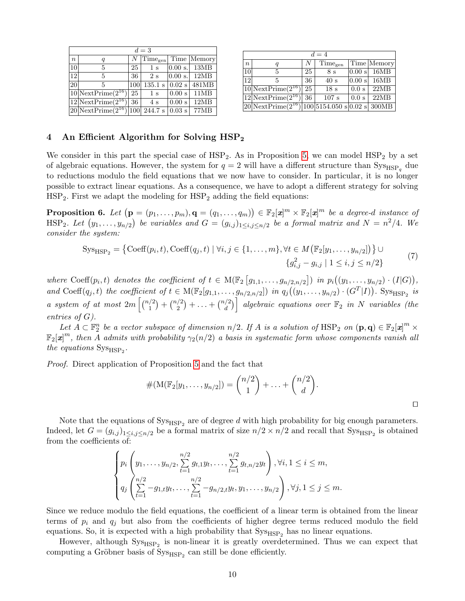| $d=3$          |                                      |                  |                              |                            |             |  |  |  |  |
|----------------|--------------------------------------|------------------|------------------------------|----------------------------|-------------|--|--|--|--|
| $\overline{n}$ | q                                    | $\boldsymbol{N}$ | $[\text{Time}_{\text{gen}}]$ |                            | Time Memory |  |  |  |  |
| 10             | 5                                    | 25               | 1 <sub>s</sub>               | 0.00 s.                    | 13MB        |  |  |  |  |
| 12             | 5                                    | 36               | 2s                           | 0.00 s.                    | 12MB        |  |  |  |  |
| 20             | 5                                    | 100              | 135.1 s                      | $\vert 0.02 \vert s \vert$ | 481MB       |  |  |  |  |
|                | $ 10 $ NextPrime $(2^{16})$          | 25               | 1 <sub>s</sub>               | 0.00 s                     | 11MB        |  |  |  |  |
|                | $\sqrt{12 \text{NextPrime}}(2^{16})$ | 36               | 4s                           | 0.00 s                     | 12MB        |  |  |  |  |
|                | $ 20 $ NextPrime $(2^{16})$          | 100              | 244.7 s                      | $0.03$ s                   | 77MB        |  |  |  |  |

| $d=4$            |                                         |    |                                      |          |               |  |  |  |  |
|------------------|-----------------------------------------|----|--------------------------------------|----------|---------------|--|--|--|--|
| $\boldsymbol{n}$ | q                                       | N  | Time <sub>gen</sub>                  |          | Time   Memory |  |  |  |  |
| 10 <sup>1</sup>  | 5                                       | 25 | 8 s                                  | 0.00 s   | 16MB          |  |  |  |  |
| 12               | 5                                       | 36 | 40 s                                 | $0.00$ s | 16MB          |  |  |  |  |
|                  | $10$  NextPrime( $2^{16}$ )             | 25 | 18 <sub>s</sub>                      | 0.0 s    | 22MB          |  |  |  |  |
|                  | $12$ NextPrime $(2^{16})$               | 36 | 107 s                                | 0.0 s    | 22MB          |  |  |  |  |
|                  | $20\overline{\text{NextPrime}}(2^{16})$ |    | $ 100 5154.050$ s $ 0.02$ s $ 300MB$ |          |               |  |  |  |  |

## <span id="page-9-0"></span>4 An Efficient Algorithm for Solving HSP<sub>2</sub>

We consider in this part the special case of  $HSP_2$ . As in Proposition [5,](#page-5-0) we can model  $HSP_2$  by a set of algebraic equations. However, the system for  $q = 2$  will have a different structure than  $\text{Sys}_{\text{HSP}_q}$  due to reductions modulo the field equations that we now have to consider. In particular, it is no longer possible to extract linear equations. As a consequence, we have to adopt a different strategy for solving  $HSP<sub>2</sub>$ . First we adapt the modeling for  $HSP<sub>2</sub>$  adding the field equations:

<span id="page-9-1"></span>**Proposition 6.** Let  $(\mathbf{p} = (p_1, \ldots, p_m), \mathbf{q} = (q_1, \ldots, q_m)) \in \mathbb{F}_2[\mathbf{z}]^m \times \mathbb{F}_2[\mathbf{z}]^m$  be a degree-d instance of  $\text{HSP}_2$ . Let  $(y_1, \ldots, y_{n/2})$  be variables and  $G = (g_{i,j})_{1 \leq i,j \leq n/2}$  be a formal matrix and  $N = n^2/4$ . We consider the system:

$$
Sys_{HSP_2} = \{ Coeff(p_i, t), Coeff(q_j, t) \mid \forall i, j \in \{1, ..., m\}, \forall t \in M \left( \mathbb{F}_2[y_1, ..., y_{n/2}] \right) \} \cup \{ g_{i,j}^2 - g_{i,j} \mid 1 \le i, j \le n/2 \}
$$
(7)

where Coeff $(p_i, t)$  denotes the coefficient of  $t \in M(\mathbb{F}_2[g_{1,1},...,g_{n/2,n/2}])$  in  $p_i((y_1,...,y_{n/2}) \cdot (I|G)),$ and Coeff $(q_j, t)$  the coefficient of  $t \in M(\mathbb{F}_2[g_{1,1},...,g_{n/2,n/2}])$  in  $q_j((y_1,...,y_{n/2})\cdot (G^T|I))$ . Sys<sub>HSP<sub>2</sub></sub> is a system of at most  $2m\left[\binom{n/2}{1}\right]$  $\binom{1}{1} + \binom{n/2}{2}$  $\binom{1}{2} + \ldots + \binom{n/2}{d}$  $\left\{ \begin{matrix} \mathcal{A} \ d \end{matrix} \right\}$  algebraic equations over  $\mathbb{F}_2$  in  $N$  variables (the entries of G).

Let  $A \subset \mathbb{F}_2^n$  be a vector subspace of dimension  $n/2$ . If A is a solution of  $HSP_2$  on  $(\mathbf{p}, \mathbf{q}) \in \mathbb{F}_2[\mathbf{x}]^m \times$  $\mathbb{F}_2[\pmb{x}]^m$ , then  $\tilde{A}$  admits with probability  $\gamma_2(n/2)$  a basis in systematic form whose components vanish all the equations  $\text{Sys}_{\text{HSP}_2}$ .

Proof. Direct application of Proposition [5](#page-5-0) and the fact that

$$
#(\mathbb{M}(\mathbb{F}_2[y_1,\ldots,y_{n/2}]) = \binom{n/2}{1} + \ldots + \binom{n/2}{d}.
$$

Note that the equations of  $\text{Sys}_{\text{HSP}_2}$  are of degree d with high probability for big enough parameters. Indeed, let  $G = (g_{i,j})_{1 \leq i,j \leq n/2}$  be a formal matrix of size  $n/2 \times n/2$  and recall that  $\text{Sys}_{\text{HSP}_2}$  is obtained from the coefficients of:

$$
\left\{\n\begin{aligned}\np_i\left(y_1,\ldots,y_{n/2},\sum_{t=1}^{n/2} g_{t,1}y_t,\ldots,\sum_{t=1}^{n/2} g_{t,n/2}y_t\right),\forall i, 1 \leq i \leq m, \\
q_j\left(\sum_{t=1}^{n/2} -g_{1,t}y_t,\ldots,\sum_{t=1}^{n/2} -g_{n/2,t}y_t,y_1,\ldots,y_{n/2}\right),\forall j, 1 \leq j \leq m.\n\end{aligned}\n\right.
$$

Since we reduce modulo the field equations, the coefficient of a linear term is obtained from the linear terms of  $p_i$  and  $q_j$  but also from the coefficients of higher degree terms reduced modulo the field equations. So, it is expected with a high probability that  $\text{Sys}_{\text{HSP}_2}$  has no linear equations.

However, although  $\text{Sys}_{\text{HSP}_2}$  is non-linear it is greatly overdetermined. Thus we can expect that computing a Gröbner basis of  $\mathrm{Sys}_{\mathrm{HSP}_2}$  can still be done efficiently.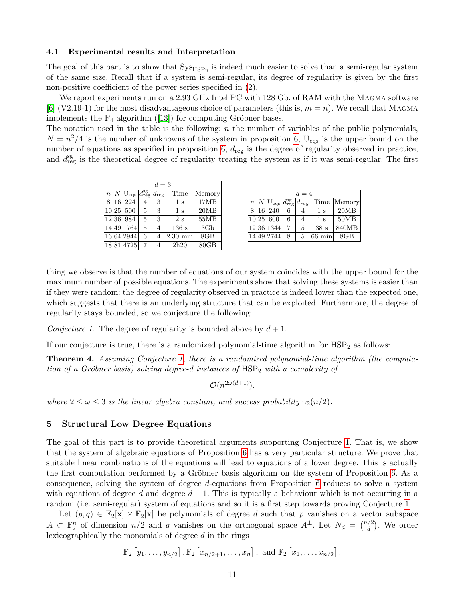#### <span id="page-10-0"></span>4.1 Experimental results and Interpretation

The goal of this part is to show that  $Sys_{HSP_2}$  is indeed much easier to solve than a semi-regular system of the same size. Recall that if a system is semi-regular, its degree of regularity is given by the first non-positive coefficient of the power series specified in [\(2\)](#page-3-0).

We report experiments run on a 2.93 GHz Intel PC with 128 Gb. of RAM with the MAGMA software [\[6\]](#page-14-10) (V2.19-1) for the most disadvantageous choice of parameters (this is,  $m = n$ ). We recall that MAGMA implements the  $F_4$  algorithm ([\[13\]](#page-14-14)) for computing Gröbner bases.

The notation used in the table is the following: n the number of variables of the public polynomials,  $N = n^2/4$  is the number of unknowns of the system in proposition [6,](#page-9-1) U<sub>eqs</sub> is the upper bound on the number of equations as specified in proposition [6,](#page-9-1)  $d_{reg}$  is the degree of regularity observed in practice, and  $d_{reg}^{sg}$  is the theoretical degree of regularity treating the system as if it was semi-regular. The first

| $d=3$            |           |                                                            |   |   |                    |        |  |  |
|------------------|-----------|------------------------------------------------------------|---|---|--------------------|--------|--|--|
| $\boldsymbol{n}$ |           | $U_{\text{eqs}} d_{\text{reg}}^{\text{sg}} d_{\text{reg}}$ |   |   | Time               | Memory |  |  |
|                  | <b>16</b> | 224                                                        |   | 3 | 1 <sub>s</sub>     | 17MB   |  |  |
|                  | 10 25     | 500                                                        | 5 | 3 | 1 <sub>s</sub>     | 20MB   |  |  |
|                  | 12 36     | 984                                                        | 5 | 3 | 2s                 | 55MB   |  |  |
|                  |           | 14 49 1764                                                 | 5 | 4 | 136 s              | 3Gb    |  |  |
|                  |           | 16 64 2944                                                 | 6 | 4 | $2.30 \text{ min}$ | 8GB    |  |  |
|                  |           | 18 81 4725                                                 |   | 4 | 2h20               | 80GB   |  |  |

| $d=4$ |                 |                                                                         |   |   |                  |        |  |  |
|-------|-----------------|-------------------------------------------------------------------------|---|---|------------------|--------|--|--|
|       |                 | $n N \mathrm{U}_{\mathrm{eqs}} d_{\mathrm{reg}}^{\mathrm{sg}} d_{reg} $ |   |   | Time             | Memory |  |  |
| 8     | 16 <sup>1</sup> | 240                                                                     | 6 |   | $1\mathrm{s}$    | 20MB   |  |  |
|       |                 | 10 25 600                                                               | 6 | 4 | 1 s              | 50MB   |  |  |
|       |                 | 12 36 1344                                                              | 7 | 5 | 38 <sub>s</sub>  | 840MB  |  |  |
|       |                 | 14 49 2744                                                              | 8 | 5 | $66 \text{ min}$ | $8$ GB |  |  |

thing we observe is that the number of equations of our system coincides with the upper bound for the maximum number of possible equations. The experiments show that solving these systems is easier than if they were random: the degree of regularity observed in practice is indeed lower than the expected one, which suggests that there is an underlying structure that can be exploited. Furthermore, the degree of regularity stays bounded, so we conjecture the following:

<span id="page-10-1"></span>Conjecture 1. The degree of regularity is bounded above by  $d+1$ .

If our conjecture is true, there is a randomized polynomial-time algorithm for  $HSP<sub>2</sub>$  as follows:

Theorem 4. Assuming Conjecture [1,](#page-10-1) there is a randomized polynomial-time algorithm (the computation of a Gröbner basis) solving degree-d instances of  $HSP<sub>2</sub>$  with a complexity of

 $\mathcal{O}(n^{2\omega(d+1)}),$ 

where  $2 \leq \omega \leq 3$  is the linear algebra constant, and success probability  $\gamma_2(n/2)$ .

### <span id="page-10-2"></span>5 Structural Low Degree Equations

The goal of this part is to provide theoretical arguments supporting Conjecture [1.](#page-10-1) That is, we show that the system of algebraic equations of Proposition [6](#page-9-1) has a very particular structure. We prove that suitable linear combinations of the equations will lead to equations of a lower degree. This is actually the first computation performed by a Gröbner basis algorithm on the system of Proposition [6.](#page-9-1) As a consequence, solving the system of degree d-equations from Proposition [6](#page-9-1) reduces to solve a system with equations of degree d and degree  $d-1$ . This is typically a behaviour which is not occurring in a random (i.e. semi-regular) system of equations and so it is a first step towards proving Conjecture [1.](#page-10-1)

Let  $(p, q) \in \mathbb{F}_2[\mathbf{x}] \times \mathbb{F}_2[\mathbf{x}]$  be polynomials of degree d such that p vanishes on a vector subspace  $A \subset \mathbb{F}_2^n$  of dimension  $n/2$  and q vanishes on the orthogonal space  $A^{\perp}$ . Let  $N_d = \binom{n/2}{d}$  $\binom{d}{d}$ . We order lexicographically the monomials of degree d in the rings

$$
\mathbb{F}_2 \left[ y_1, \ldots, y_{n/2} \right], \mathbb{F}_2 \left[ x_{n/2+1}, \ldots, x_n \right], \text{ and } \mathbb{F}_2 \left[ x_1, \ldots, x_{n/2} \right].
$$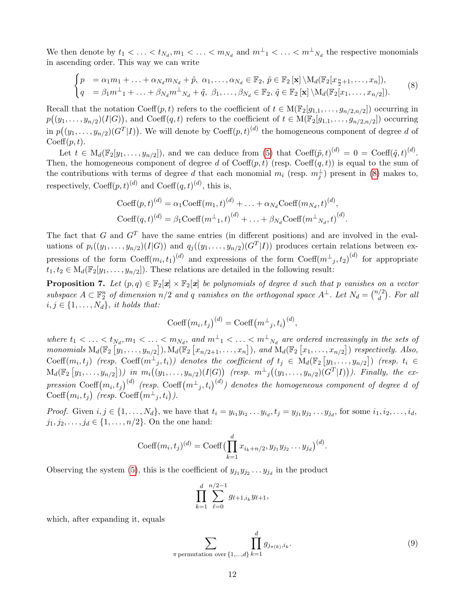We then denote by  $t_1 < \ldots < t_{N_d}, m_1 < \ldots < m_{N_d}$  and  $m^{\perp}$ <sub>1</sub> <  $\ldots < m^{\perp}$ <sub>N<sub>d</sub></sub> the respective monomials in ascending order. This way we can write

<span id="page-11-0"></span>
$$
\begin{cases}\np = \alpha_1 m_1 + \ldots + \alpha_{N_d} m_{N_d} + \tilde{p}, \ \alpha_1, \ldots, \alpha_{N_d} \in \mathbb{F}_2, \ \tilde{p} \in \mathbb{F}_2 \left[ \mathbf{x} \right] \setminus M_d(\mathbb{F}_2[x_{\frac{n}{2}+1}, \ldots, x_n]), \\
q = \beta_1 m^{\perp}_1 + \ldots + \beta_{N_d} m^{\perp}_{N_d} + \tilde{q}, \ \beta_1, \ldots, \beta_{N_d} \in \mathbb{F}_2, \ \tilde{q} \in \mathbb{F}_2 \left[ \mathbf{x} \right] \setminus M_d(\mathbb{F}_2[x_1, \ldots, x_{n/2}]).\n\end{cases}\n\tag{8}
$$

Recall that the notation Coeff $(p, t)$  refers to the coefficient of  $t \in M(\mathbb{F}_2[g_{1,1}, \ldots, g_{n/2,n/2}])$  occurring in  $p((y_1,\ldots,y_{n/2})(I|G)),$  and Coeff $(q,t)$  refers to the coefficient of  $t \in M(\mathbb{F}_2[g_{1,1},\ldots,g_{n/2,n/2}])$  occurring in  $p((y_1, \ldots, y_{n/2})(G^T | I))$ . We will denote by Coeff $(p, t)^{(d)}$  the homogeneous component of degree d of  $Coeff(p, t)$ .

Let  $t \in M_d(\mathbb{F}_2[y_1,\ldots,y_{n/2}])$ , and we can deduce from [\(5\)](#page-6-2) that  $\text{Coeff}(\tilde{p},t)^{(d)} = 0 = \text{Coeff}(\tilde{q},t)^{(d)}$ . Then, the homogeneous component of degree d of  $\text{Coeff}(p, t)$  (resp.  $\text{Coeff}(q, t)$ ) is equal to the sum of the contributions with terms of degree d that each monomial  $m_i$  (resp.  $m_j^{\perp}$ ) present in [\(8\)](#page-11-0) makes to, respectively,  $\text{Coeff}(p, t)^{(d)}$  and  $\text{Coeff}(q, t)^{(d)}$ , this is,

$$
\text{Coeff}(p, t)^{(d)} = \alpha_1 \text{Coeff}(m_1, t)^{(d)} + \ldots + \alpha_{N_d} \text{Coeff}(m_{N_d}, t)^{(d)},
$$
  

$$
\text{Coeff}(q, t)^{(d)} = \beta_1 \text{Coeff}(m^{\perp}_{1}, t)^{(d)} + \ldots + \beta_{N_d} \text{Coeff}(m^{\perp}_{N_d}, t)^{(d)}.
$$

The fact that G and  $G<sup>T</sup>$  have the same entries (in different positions) and are involved in the evaluations of  $p_i((y_1,\ldots,y_{n/2})(I|G))$  and  $q_j((y_1,\ldots,y_{n/2})(G^T|I))$  produces certain relations between expressions of the form  $\text{Coeff}(m_i, t_1)^{(d)}$  and expressions of the form  $\text{Coeff}(m^{\perp}, t_2)^{(d)}$  for appropriate  $t_1, t_2 \in M_d(\mathbb{F}_2[y_1, \ldots, y_{n/2}])$ . These relations are detailed in the following result:

**Proposition 7.** Let  $(p,q) \in \mathbb{F}_2[x] \times \mathbb{F}_2[x]$  be polynomials of degree d such that p vanishes on a vector subspace  $A \subset \mathbb{F}_2^n$  of dimension  $n/2$  and q vanishes on the orthogonal space  $A^{\perp}$ . Let  $N_d = \binom{n/2}{d}$  $\binom{2}{d}$ . For all  $i, j \in \{1, \ldots, N_d\}$ , it holds that:

<span id="page-11-2"></span>
$$
Coeff(m_i, t_j)^{(d)} = Coeff(m^{\perp}_{j}, t_i)^{(d)},
$$

where  $t_1 < \ldots < t_{N_d}, m_1 < \ldots < m_{N_d}$ , and  $m^{\perp}$ <sub>1</sub>  $< \ldots < m^{\perp}$ <sub>N<sub>d</sub></sub> are ordered increasingly in the sets of monomials  $M_d(\mathbb{F}_2[\hat{y}_1,\ldots,y_{n/2}]), M_d(\mathbb{F}_2[x_{n/2+1},\ldots,x_n]),$  and  $M_d(\mathbb{F}_2[x_1,\ldots,x_{n/2}])$  respectively. Also,  $\text{Coeff}(m_i, t_j)$  (resp.  $\text{Coeff}(m^{\perp}, t_i)$ ) denotes the coefficient of  $t_j \in M_d(\mathbb{F}_2[y_1, \ldots, y_{n/2}])$  (resp.  $t_i \in$  $\mathrm{M}_d(\mathbb{F}_2\left[y_1,\ldots,y_{n/2}\right]) )$  in  $m_i\big((y_1,\ldots,y_{n/2})(I|G)\big)$  (resp.  $m^{\perp}{}_{j}\big((y_1,\ldots,y_{n/2})(G^T|I)\big)$ ). Finally, the expression  $\mathrm{Coeff}(m_i,t_j)^{(d)}$  (resp.  $\mathrm{Coeff}(m^\perp{}_j,t_i)^{(d)}$ ) denotes the homogeneous component of degree  $d$  of Coeff $(m_i, t_j)$  (resp. Coeff $(m^{\perp}, t_i)$ ).

*Proof.* Given  $i, j \in \{1, ..., N_d\}$ , we have that  $t_i = y_{i_1} y_{i_2} ... y_{i_d}$ ,  $t_j = y_{j_1} y_{j_2} ... y_{j_d}$ , for some  $i_1, i_2, ..., i_d$ ,  $j_1, j_2, \ldots, j_d \in \{1, \ldots, n/2\}$ . On the one hand:

Coeff
$$
(m_i, t_j)^{(d)}
$$
 = Coeff $\left(\prod_{k=1}^d x_{i_k+n/2}, y_{j_1}y_{j_2} \dots y_{j_d}\right)^{(d)}$ .

Observing the system [\(5\)](#page-6-2), this is the coefficient of  $y_{j_1}y_{j_2} \ldots y_{j_d}$  in the product

$$
\prod_{k=1}^d \sum_{\ell=0}^{n/2-1} g_{\ell+1,i_k} y_{\ell+1},
$$

which, after expanding it, equals

<span id="page-11-1"></span>
$$
\sum_{\pi \text{ permutation over } \{1,\dots,d\}} \prod_{k=1}^d g_{j_{\pi(k)},i_k}.
$$
 (9)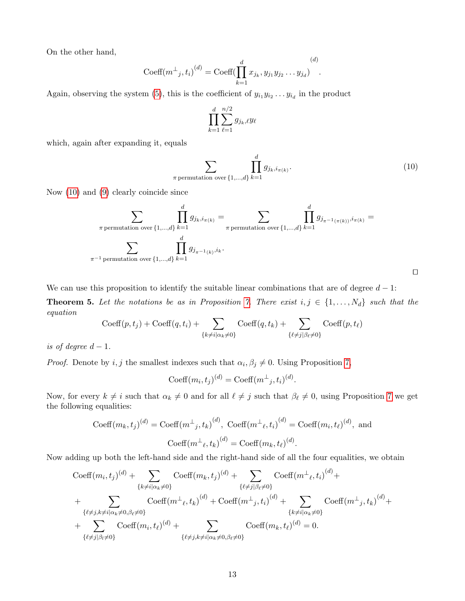On the other hand,

Coeff
$$
(m^{\perp}_{j}, t_{i})^{(d)}
$$
 = Coeff $(\prod_{k=1}^{d} x_{j_{k}}, y_{j_{1}} y_{j_{2}} \dots y_{j_{d}})^{(d)}$ .

Again, observing the system [\(5\)](#page-6-2), this is the coefficient of  $y_{i_1} y_{i_2} \dots y_{i_d}$  in the product

$$
\prod_{k=1}^d \sum_{\ell=1}^{n/2} g_{j_k,\ell} y_\ell
$$

which, again after expanding it, equals

<span id="page-12-0"></span>
$$
\sum_{\pi \text{ permutation over } \{1,\dots,d\}} \prod_{k=1}^d g_{j_k, i_{\pi(k)}}.
$$
\n(10)

Now [\(10\)](#page-12-0) and [\(9\)](#page-11-1) clearly coincide since

$$
\sum_{\pi \text{ permutation over } \{1,\dots,d\}} \prod_{k=1}^d g_{j_k,i_{\pi(k)}} = \sum_{\pi \text{ permutation over } \{1,\dots,d\}} \prod_{k=1}^d g_{j_{\pi^{-1}(\pi(k))},i_{\pi(k)}} = \sum_{\pi^{-1} \text{ permutation over } \{1,\dots,d\}} \prod_{k=1}^d g_{j_{\pi^{-1}(\pi(k))},i_{\pi(k)}} =
$$

<span id="page-12-1"></span>

We can use this proposition to identify the suitable linear combinations that are of degree  $d-1$ :

**Theorem 5.** Let the notations be as in Proposition [7.](#page-11-2) There exist  $i, j \in \{1, ..., N_d\}$  such that the equation

$$
\mathrm{Coeff}(p, t_j) + \mathrm{Coeff}(q, t_i) + \sum_{\{k \neq i | \alpha_k \neq 0\}} \mathrm{Coeff}(q, t_k) + \sum_{\{\ell \neq j | \beta_\ell \neq 0\}} \mathrm{Coeff}(p, t_\ell)
$$

is of degree  $d-1$ .

*Proof.* Denote by i, j the smallest indexes such that  $\alpha_i, \beta_j \neq 0$ . Using Proposition [7,](#page-11-2)

$$
Coeff(m_i, t_j)^{(d)} = Coeff(m^{\perp}_{j}, t_i)^{(d)}.
$$

Now, for every  $k \neq i$  such that  $\alpha_k \neq 0$  and for all  $\ell \neq j$  such that  $\beta_{\ell} \neq 0$ , using Proposition [7](#page-11-2) we get the following equalities:

$$
\text{Coeff}(m_k, t_j)^{(d)} = \text{Coeff}(m_{j, t_k})^{(d)}, \text{Coeff}(m_{\ell, t_i})^{(d)} = \text{Coeff}(m_i, t_{\ell})^{(d)}, \text{ and}
$$

$$
\text{Coeff}(m_{j, t_k})^{(d)} = \text{Coeff}(m_k, t_{\ell})^{(d)}.
$$

Now adding up both the left-hand side and the right-hand side of all the four equalities, we obtain

$$
\begin{split}\n &\text{Coeff}(m_i, t_j)^{(d)} + \sum_{\{k \neq i | \alpha_k \neq 0\}} \text{Coeff}(m_k, t_j)^{(d)} + \sum_{\{\ell \neq j | \beta_\ell \neq 0\}} \text{Coeff}(m^\perp_{\ell}, t_i)^{(d)} + \\
 &+ \sum_{\{\ell \neq j, k \neq i | \alpha_k \neq 0, \beta_\ell \neq 0\}} \text{Coeff}(m^\perp_{\ell}, t_k)^{(d)} + \text{Coeff}(m^\perp_{j}, t_i)^{(d)} + \sum_{\{k \neq i | \alpha_k \neq 0\}} \text{Coeff}(m^\perp_{j}, t_k)^{(d)} + \\
 &+ \sum_{\{\ell \neq j | \beta_l \neq 0\}} \text{Coeff}(m_i, t_\ell)^{(d)} + \sum_{\{\ell \neq j, k \neq i | \alpha_k \neq 0, \beta_\ell \neq 0\}} \text{Coeff}(m_k, t_\ell)^{(d)} = 0.\n \end{split}
$$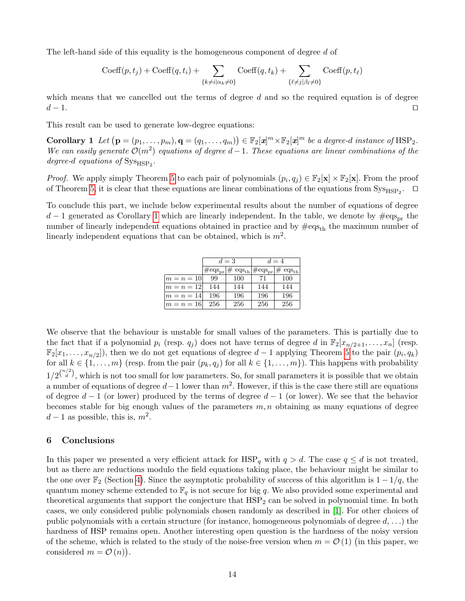The left-hand side of this equality is the homogeneous component of degree d of

<span id="page-13-0"></span>
$$
Coeff(p, tj) + Coeff(q, ti) + \sum_{\{k \neq i | \alpha_k \neq 0\}} Coeff(q, tk) + \sum_{\{\ell \neq j | \beta_{\ell} \neq 0\}} Coeff(p, t_{\ell})
$$

which means that we cancelled out the terms of degree  $d$  and so the required equation is of degree  $d-1$ . □

This result can be used to generate low-degree equations:

Corollary 1 Let  $(\mathbf{p} = (p_1, \ldots, p_m), \mathbf{q} = (q_1, \ldots, q_m)) \in \mathbb{F}_2[\mathbf{z}]^m \times \mathbb{F}_2[\mathbf{z}]^m$  be a degree-d instance of  $\text{HSP}_2$ . We can easily generate  $\mathcal{O}(m^2)$  equations of degree d – 1. These equations are linear combinations of the degree-d equations of  $\text{Sys}_{\text{HSP}_2}$ .

*Proof.* We apply simply Theorem [5](#page-12-1) to each pair of polynomials  $(p_i, q_j) \in \mathbb{F}_2[\mathbf{x}] \times \mathbb{F}_2[\mathbf{x}]$ . From the proof of Theorem [5,](#page-12-1) it is clear that these equations are linear combinations of the equations from  $\text{Sys}_{\text{HSP}_2}$ .  $\Box$ 

To conclude this part, we include below experimental results about the number of equations of degree  $d-1$  generated as Corollary [1](#page-13-0) which are linearly independent. In the table, we denote by  $\# \text{eqs}_{\text{pr}}$  the number of linearly independent equations obtained in practice and by  $\text{#eqs}_{th}$  the maximum number of linearly independent equations that can be obtained, which is  $m^2$ .

|          |     | $d=3$                                                                                      | $d=4$ |     |  |
|----------|-----|--------------------------------------------------------------------------------------------|-------|-----|--|
|          |     | $\text{\#eqs}_{pr} \text{\# eqs}_{\text{th}} \text{\#eqs}_{pr} \text{\# eqs}_{\text{th}} $ |       |     |  |
| $m=n=10$ | 99  | 100                                                                                        | 71    | 100 |  |
| $m=n=12$ | 144 | 144                                                                                        | 144   | 144 |  |
| $m=n=14$ | 196 | 196                                                                                        | 196   | 196 |  |
| $m=n=16$ | 256 | 256                                                                                        | 256   | 256 |  |

We observe that the behaviour is unstable for small values of the parameters. This is partially due to the fact that if a polynomial  $p_i$  (resp.  $q_i$ ) does not have terms of degree d in  $\mathbb{F}_2[x_{n/2+1}, \ldots, x_n]$  (resp.  $\mathbb{F}_2[x_1,\ldots,x_{n/2}]$ , then we do not get equations of degree  $d-1$  applying Theorem [5](#page-12-1) to the pair  $(p_i,q_k)$ for all  $k \in \{1, \ldots, m\}$  (resp. from the pair  $(p_k, q_j)$  for all  $k \in \{1, \ldots, m\}$ ). This happens with probability  $1/2^{n/2 \choose d}$ , which is not too small for low parameters. So, for small parameters it is possible that we obtain a number of equations of degree  $d-1$  lower than  $m^2$ . However, if this is the case there still are equations of degree  $d-1$  (or lower) produced by the terms of degree  $d-1$  (or lower). We see that the behavior becomes stable for big enough values of the parameters  $m, n$  obtaining as many equations of degree  $d-1$  as possible, this is,  $m^2$ .

#### 6 Conclusions

In this paper we presented a very efficient attack for  $HSP_q$  with  $q > d$ . The case  $q \leq d$  is not treated, but as there are reductions modulo the field equations taking place, the behaviour might be similar to the one over  $\mathbb{F}_2$  (Section [4\)](#page-9-0). Since the asymptotic probability of success of this algorithm is  $1 - 1/q$ , the quantum money scheme extended to  $\mathbb{F}_q$  is not secure for big q. We also provided some experimental and theoretical arguments that support the conjecture that  $HSP<sub>2</sub>$  can be solved in polynomial time. In both cases, we only considered public polynomials chosen randomly as described in [\[1\]](#page-14-0). For other choices of public polynomials with a certain structure (for instance, homogeneous polynomials of degree  $d, \ldots$ ) the hardness of HSP remains open. Another interesting open question is the hardness of the noisy version of the scheme, which is related to the study of the noise-free version when  $m = \mathcal{O}(1)$  (in this paper, we considered  $m = \mathcal{O}(n)$ .